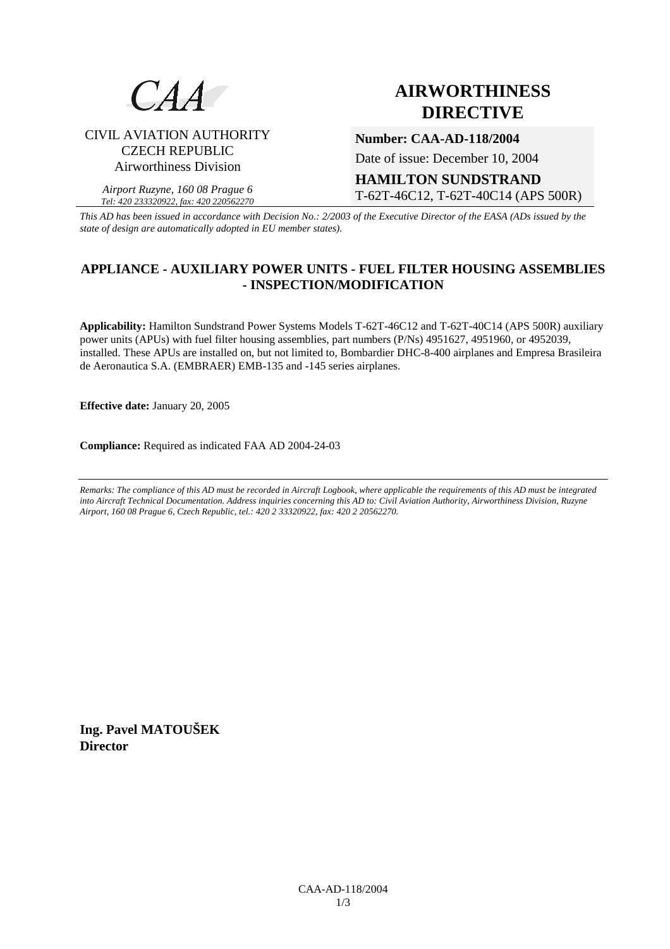

# **AIRWORTHINESS DIRECTIVE**

# CIVIL AVIATION AUTHORITY CZECH REPUBLIC Airworthiness Division

*Airport Ruzyne, 160 08 Prague 6 Tel: 420 233320922, fax: 420 220562270* **Number: CAA-AD-118/2004** 

Date of issue: December 10, 2004

**HAMILTON SUNDSTRAND**  T-62T-46C12, T-62T-40C14 (APS 500R)

*This AD has been issued in accordance with Decision No.: 2/2003 of the Executive Director of the EASA (ADs issued by the state of design are automatically adopted in EU member states).*

# **APPLIANCE - AUXILIARY POWER UNITS - FUEL FILTER HOUSING ASSEMBLIES - INSPECTION/MODIFICATION**

**Applicability:** Hamilton Sundstrand Power Systems Models T-62T-46C12 and T-62T-40C14 (APS 500R) auxiliary power units (APUs) with fuel filter housing assemblies, part numbers (P/Ns) 4951627, 4951960, or 4952039, installed. These APUs are installed on, but not limited to, Bombardier DHC-8-400 airplanes and Empresa Brasileira de Aeronautica S.A. (EMBRAER) EMB-135 and -145 series airplanes.

**Effective date:** January 20, 2005

**Compliance:** Required as indicated FAA AD 2004-24-03

*Remarks: The compliance of this AD must be recorded in Aircraft Logbook, where applicable the requirements of this AD must be integrated into Aircraft Technical Documentation. Address inquiries concerning this AD to: Civil Aviation Authority, Airworthiness Division, Ruzyne Airport, 160 08 Prague 6, Czech Republic, tel.: 420 2 33320922, fax: 420 2 20562270.* 

**Ing. Pavel MATOUŠEK Director**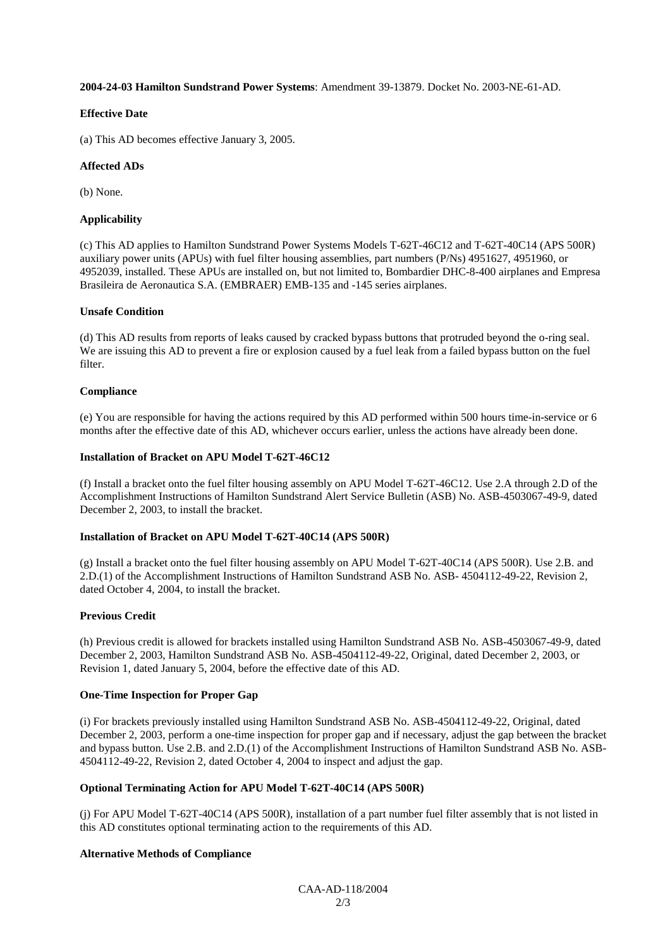# **2004-24-03 Hamilton Sundstrand Power Systems**: Amendment 39-13879. Docket No. 2003-NE-61-AD.

## **Effective Date**

(a) This AD becomes effective January 3, 2005.

## **Affected ADs**

(b) None.

#### **Applicability**

(c) This AD applies to Hamilton Sundstrand Power Systems Models T-62T-46C12 and T-62T-40C14 (APS 500R) auxiliary power units (APUs) with fuel filter housing assemblies, part numbers (P/Ns) 4951627, 4951960, or 4952039, installed. These APUs are installed on, but not limited to, Bombardier DHC-8-400 airplanes and Empresa Brasileira de Aeronautica S.A. (EMBRAER) EMB-135 and -145 series airplanes.

#### **Unsafe Condition**

(d) This AD results from reports of leaks caused by cracked bypass buttons that protruded beyond the o-ring seal. We are issuing this AD to prevent a fire or explosion caused by a fuel leak from a failed bypass button on the fuel filter.

#### **Compliance**

(e) You are responsible for having the actions required by this AD performed within 500 hours time-in-service or 6 months after the effective date of this AD, whichever occurs earlier, unless the actions have already been done.

## **Installation of Bracket on APU Model T-62T-46C12**

(f) Install a bracket onto the fuel filter housing assembly on APU Model T-62T-46C12. Use 2.A through 2.D of the Accomplishment Instructions of Hamilton Sundstrand Alert Service Bulletin (ASB) No. ASB-4503067-49-9, dated December 2, 2003, to install the bracket.

#### **Installation of Bracket on APU Model T-62T-40C14 (APS 500R)**

(g) Install a bracket onto the fuel filter housing assembly on APU Model T-62T-40C14 (APS 500R). Use 2.B. and 2.D.(1) of the Accomplishment Instructions of Hamilton Sundstrand ASB No. ASB- 4504112-49-22, Revision 2, dated October 4, 2004, to install the bracket.

# **Previous Credit**

(h) Previous credit is allowed for brackets installed using Hamilton Sundstrand ASB No. ASB-4503067-49-9, dated December 2, 2003, Hamilton Sundstrand ASB No. ASB-4504112-49-22, Original, dated December 2, 2003, or Revision 1, dated January 5, 2004, before the effective date of this AD.

# **One-Time Inspection for Proper Gap**

(i) For brackets previously installed using Hamilton Sundstrand ASB No. ASB-4504112-49-22, Original, dated December 2, 2003, perform a one-time inspection for proper gap and if necessary, adjust the gap between the bracket and bypass button. Use 2.B. and 2.D.(1) of the Accomplishment Instructions of Hamilton Sundstrand ASB No. ASB-4504112-49-22, Revision 2, dated October 4, 2004 to inspect and adjust the gap.

# **Optional Terminating Action for APU Model T-62T-40C14 (APS 500R)**

(j) For APU Model T-62T-40C14 (APS 500R), installation of a part number fuel filter assembly that is not listed in this AD constitutes optional terminating action to the requirements of this AD.

# **Alternative Methods of Compliance**